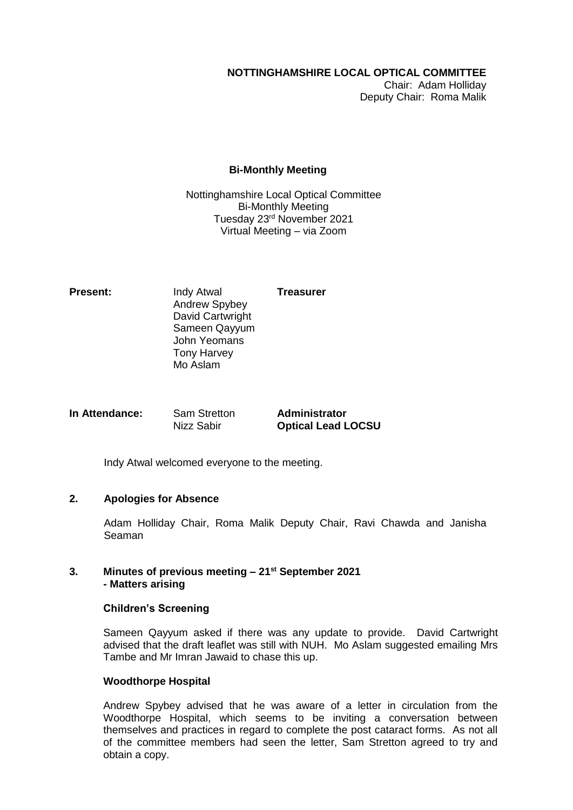# **NOTTINGHAMSHIRE LOCAL OPTICAL COMMITTEE**

Chair: Adam Holliday Deputy Chair: Roma Malik

# **Bi-Monthly Meeting**

Nottinghamshire Local Optical Committee Bi-Monthly Meeting Tuesday 23rd November 2021 Virtual Meeting – via Zoom

**Present:** Indy Atwal **Treasurer** Andrew Spybey David Cartwright Sameen Qayyum John Yeomans Tony Harvey Mo Aslam

**In Attendance:** Sam Stretton **Administrator** Nizz Sabir **Optical Lead LOCSU**

Indy Atwal welcomed everyone to the meeting.

# **2. Apologies for Absence**

Adam Holliday Chair, Roma Malik Deputy Chair, Ravi Chawda and Janisha Seaman

### **3. Minutes of previous meeting – 21st September 2021 - Matters arising**

### **Children's Screening**

Sameen Qayyum asked if there was any update to provide. David Cartwright advised that the draft leaflet was still with NUH. Mo Aslam suggested emailing Mrs Tambe and Mr Imran Jawaid to chase this up.

# **Woodthorpe Hospital**

Andrew Spybey advised that he was aware of a letter in circulation from the Woodthorpe Hospital, which seems to be inviting a conversation between themselves and practices in regard to complete the post cataract forms. As not all of the committee members had seen the letter, Sam Stretton agreed to try and obtain a copy.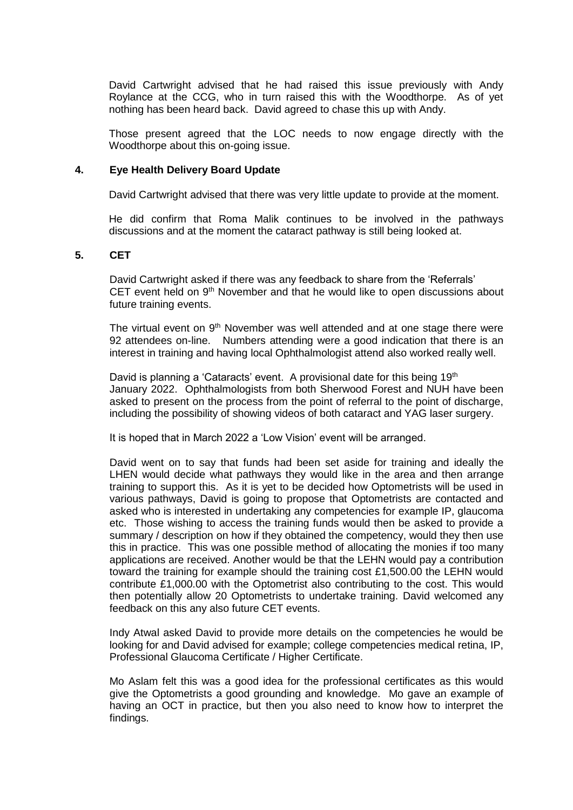David Cartwright advised that he had raised this issue previously with Andy Roylance at the CCG, who in turn raised this with the Woodthorpe. As of yet nothing has been heard back. David agreed to chase this up with Andy.

Those present agreed that the LOC needs to now engage directly with the Woodthorpe about this on-going issue.

### **4. Eye Health Delivery Board Update**

David Cartwright advised that there was very little update to provide at the moment.

He did confirm that Roma Malik continues to be involved in the pathways discussions and at the moment the cataract pathway is still being looked at.

### **5. CET**

David Cartwright asked if there was any feedback to share from the 'Referrals' CET event held on 9<sup>th</sup> November and that he would like to open discussions about future training events.

The virtual event on  $9<sup>th</sup>$  November was well attended and at one stage there were 92 attendees on-line. Numbers attending were a good indication that there is an interest in training and having local Ophthalmologist attend also worked really well.

David is planning a 'Cataracts' event. A provisional date for this being  $19<sup>th</sup>$ January 2022. Ophthalmologists from both Sherwood Forest and NUH have been asked to present on the process from the point of referral to the point of discharge, including the possibility of showing videos of both cataract and YAG laser surgery.

It is hoped that in March 2022 a 'Low Vision' event will be arranged.

David went on to say that funds had been set aside for training and ideally the LHEN would decide what pathways they would like in the area and then arrange training to support this. As it is yet to be decided how Optometrists will be used in various pathways, David is going to propose that Optometrists are contacted and asked who is interested in undertaking any competencies for example IP, glaucoma etc. Those wishing to access the training funds would then be asked to provide a summary / description on how if they obtained the competency, would they then use this in practice. This was one possible method of allocating the monies if too many applications are received. Another would be that the LEHN would pay a contribution toward the training for example should the training cost £1,500.00 the LEHN would contribute £1,000.00 with the Optometrist also contributing to the cost. This would then potentially allow 20 Optometrists to undertake training. David welcomed any feedback on this any also future CET events.

Indy Atwal asked David to provide more details on the competencies he would be looking for and David advised for example; college competencies medical retina, IP, Professional Glaucoma Certificate / Higher Certificate.

Mo Aslam felt this was a good idea for the professional certificates as this would give the Optometrists a good grounding and knowledge. Mo gave an example of having an OCT in practice, but then you also need to know how to interpret the findings.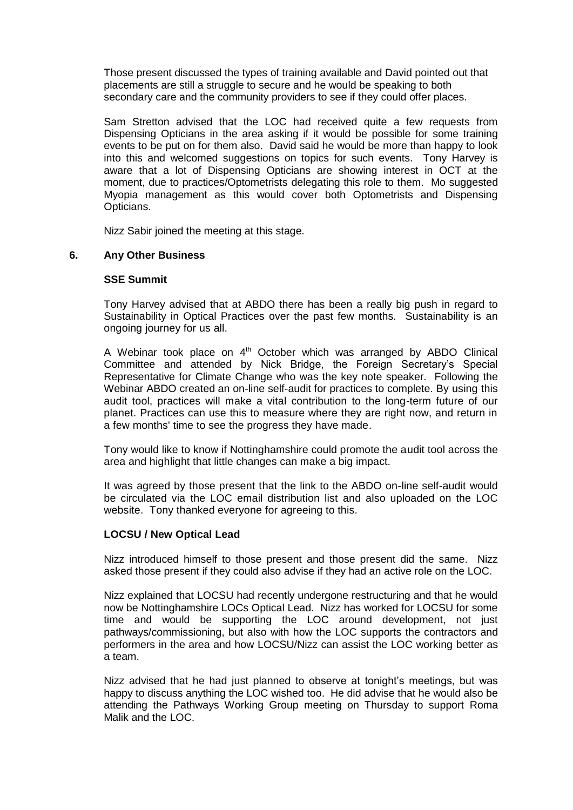Those present discussed the types of training available and David pointed out that placements are still a struggle to secure and he would be speaking to both secondary care and the community providers to see if they could offer places.

Sam Stretton advised that the LOC had received quite a few requests from Dispensing Opticians in the area asking if it would be possible for some training events to be put on for them also. David said he would be more than happy to look into this and welcomed suggestions on topics for such events. Tony Harvey is aware that a lot of Dispensing Opticians are showing interest in OCT at the moment, due to practices/Optometrists delegating this role to them. Mo suggested Myopia management as this would cover both Optometrists and Dispensing Opticians.

Nizz Sabir joined the meeting at this stage.

# **6. Any Other Business**

### **SSE Summit**

Tony Harvey advised that at ABDO there has been a really big push in regard to Sustainability in Optical Practices over the past few months. Sustainability is an ongoing journey for us all.

A Webinar took place on  $4<sup>th</sup>$  October which was arranged by ABDO Clinical Committee and attended by Nick Bridge, the Foreign Secretary's Special Representative for Climate Change who was the key note speaker. Following the Webinar ABDO created an on-line self-audit for practices to complete. By using this audit tool, practices will make a vital contribution to the long-term future of our planet. Practices can use this to measure where they are right now, and return in a few months' time to see the progress they have made.

Tony would like to know if Nottinghamshire could promote the audit tool across the area and highlight that little changes can make a big impact.

It was agreed by those present that the link to the ABDO on-line self-audit would be circulated via the LOC email distribution list and also uploaded on the LOC website. Tony thanked everyone for agreeing to this.

### **LOCSU / New Optical Lead**

Nizz introduced himself to those present and those present did the same. Nizz asked those present if they could also advise if they had an active role on the LOC.

Nizz explained that LOCSU had recently undergone restructuring and that he would now be Nottinghamshire LOCs Optical Lead. Nizz has worked for LOCSU for some time and would be supporting the LOC around development, not just pathways/commissioning, but also with how the LOC supports the contractors and performers in the area and how LOCSU/Nizz can assist the LOC working better as a team.

Nizz advised that he had just planned to observe at tonight's meetings, but was happy to discuss anything the LOC wished too. He did advise that he would also be attending the Pathways Working Group meeting on Thursday to support Roma Malik and the LOC.